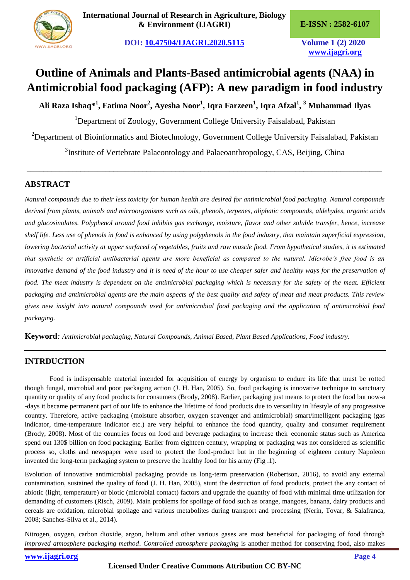**DOI: [10.47504/IJAGRI.2020.5115](http://doi.org/10.47504/IJAGRI.2020.5115) Volume 1 (2) 2020**

**[www.ijagri.org](https://ijagri.org/index.php/ijagri/about)**

# **Outline of Animals and Plants-Based antimicrobial agents (NAA) in Antimicrobial food packaging (AFP): A new paradigm in food industry**

**Ali Raza Ishaq\*<sup>1</sup> , Fatima Noor<sup>2</sup> , Ayesha Noor<sup>1</sup> , Iqra Farzeen<sup>1</sup> , Iqra Afzal<sup>1</sup> , <sup>3</sup> Muhammad Ilyas**

<sup>1</sup>Department of Zoology, Government College University Faisalabad, Pakistan <sup>2</sup>Department of Bioinformatics and Biotechnology, Government College University Faisalabad, Pakistan <sup>3</sup>Institute of Vertebrate Palaeontology and Palaeoanthropology, CAS, Beijing, China

*\_\_\_\_\_\_\_\_\_\_\_\_\_\_\_\_\_\_\_\_\_\_\_\_\_\_\_\_\_\_\_\_\_\_\_\_\_\_\_\_\_\_\_\_\_\_\_\_\_\_\_\_\_\_\_\_\_\_\_\_\_\_\_\_\_\_\_\_\_\_\_\_\_\_\_\_\_\_\_\_\_\_\_\_\_\_*

# **ABSTRACT**

*Natural compounds due to their less toxicity for human health are desired for antimicrobial food packaging. Natural compounds derived from plants, animals and microorganisms such as oils, phenols, terpenes, aliphatic compounds, aldehydes, organic acids and glucosinolates. Polyphenol around food inhibits gas exchange, moisture, flavor and other soluble transfer, hence, increase shelf life. Less use of phenols in food is enhanced by using polyphenols in the food industry, that maintain superficial expression, lowering bacterial activity at upper surfaced of vegetables, fruits and raw muscle food. From hypothetical studies, it is estimated that synthetic or artificial antibacterial agents are more beneficial as compared to the natural. Microbe's free food is an innovative demand of the food industry and it is need of the hour to use cheaper safer and healthy ways for the preservation of food. The meat industry is dependent on the antimicrobial packaging which is necessary for the safety of the meat. Efficient packaging and antimicrobial agents are the main aspects of the best quality and safety of meat and meat products. This review gives new insight into natural compounds used for antimicrobial food packaging and the application of antimicrobial food packaging.*

**Keyword***: Antimicrobial packaging, Natural Compounds, Animal Based, Plant Based Applications, Food industry.*

# **INTRDUCTION**

Food is indispensable material intended for acquisition of energy by organism to endure its life that must be rotted though fungal, microbial and poor packaging action (J. H. Han, 2005). So, food packaging is innovative technique to sanctuary quantity or quality of any food products for consumers (Brody, 2008). Earlier, packaging just means to protect the food but now-a -days it became permanent part of our life to enhance the lifetime of food products due to versatility in lifestyle of any progressive country. Therefore, active packaging (moisture absorber, oxygen scavenger and antimicrobial) smart/intelligent packaging (gas indicator, time-temperature indicator etc.) are very helpful to enhance the food quantity, quality and consumer requirement (Brody, 2008). Most of the countries focus on food and beverage packaging to increase their economic status such as America spend out 130\$ billion on food packaging. Earlier from eighteen century, wrapping or packaging was not considered as scientific process so, cloths and newspaper were used to protect the food-product but in the beginning of eighteen century Napoleon invented the long-term packaging system to preserve the healthy food for his army (Fig .1).

Evolution of innovative antimicrobial packaging provide us long-term preservation (Robertson, 2016), to avoid any external contamination, sustained the quality of food (J. H. Han, 2005), stunt the destruction of food products, protect the any contact of abiotic (light, temperature) or biotic (microbial contact) factors and upgrade the quantity of food with minimal time utilization for demanding of customers (Risch, 2009). Main problems for spoilage of food such as orange, mangoes, banana, dairy products and cereals are oxidation, microbial spoilage and various metabolites during transport and processing (Nerín, Tovar, & Salafranca, 2008; Sanches-Silva et al., 2014).

Nitrogen, oxygen, carbon dioxide, argon, helium and other various gases are most beneficial for packaging of food through *improved atmosphere packaging method*. *Controlled atmosphere packaging* is another method for conserving food, also makes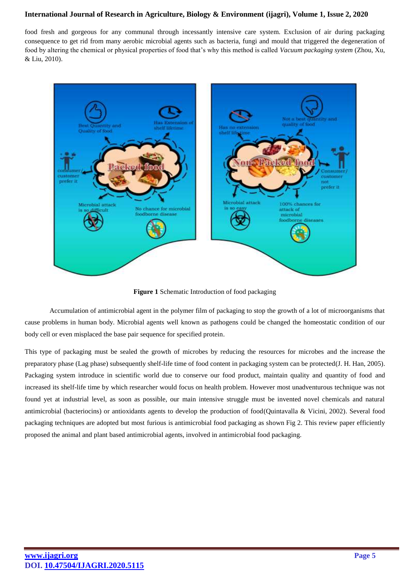food fresh and gorgeous for any communal through incessantly intensive care system. Exclusion of air during packaging consequence to get rid from many aerobic microbial agents such as bacteria, fungi and mould that triggered the degeneration of food by altering the chemical or physical properties of food that's why this method is called *Vacuum packaging system* (Zhou, Xu, & Liu, 2010).



**Figure 1** Schematic Introduction of food packaging

Accumulation of antimicrobial agent in the polymer film of packaging to stop the growth of a lot of microorganisms that cause problems in human body. Microbial agents well known as pathogens could be changed the homeostatic condition of our body cell or even misplaced the base pair sequence for specified protein.

This type of packaging must be sealed the growth of microbes by reducing the resources for microbes and the increase the preparatory phase (Lag phase) subsequently shelf-life time of food content in packaging system can be protected(J. H. Han, 2005). Packaging system introduce in scientific world due to conserve our food product, maintain quality and quantity of food and increased its shelf-life time by which researcher would focus on health problem. However most unadventurous technique was not found yet at industrial level, as soon as possible, our main intensive struggle must be invented novel chemicals and natural antimicrobial (bacteriocins) or antioxidants agents to develop the production of food(Quintavalla & Vicini, 2002). Several food packaging techniques are adopted but most furious is antimicrobial food packaging as shown Fig 2. This review paper efficiently proposed the animal and plant based antimicrobial agents, involved in antimicrobial food packaging.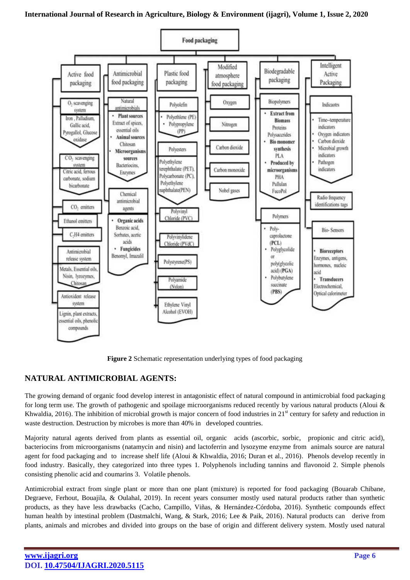

**Figure 2** Schematic representation underlying types of food packaging

# **NATURAL ANTIMICROBIAL AGENTS:**

The growing demand of organic food develop interest in antagonistic effect of natural compound in antimicrobial food packaging for long term use. The growth of pathogenic and spoilage microorganisms reduced recently by various natural products (Aloui & Khwaldia, 2016). The inhibition of microbial growth is major concern of food industries in  $21<sup>st</sup>$  century for safety and reduction in waste destruction. Destruction by microbes is more than 40% in developed countries.

Majority natural agents derived from plants as essential oil, organic acids (ascorbic, sorbic, propionic and citric acid), bacteriocins from microorganisms (natamycin and nisin) and lactoferrin and lysozyme enzyme from animals source are natural agent for food packaging and to increase shelf life (Aloui & Khwaldia, 2016; Duran et al., 2016). Phenols develop recently in food industry. Basically, they categorized into three types 1. Polyphenols including tannins and flavonoid 2. Simple phenols consisting phenolic acid and coumarins 3. Volatile phenols.

Antimicrobial extract from single plant or more than one plant (mixture) is reported for food packaging (Bouarab Chibane, Degraeve, Ferhout, Bouajila, & Oulahal, 2019). In recent years consumer mostly used natural products rather than synthetic products, as they have less drawbacks (Cacho, Campillo, Viñas, & Hernández-Córdoba, 2016). Synthetic compounds effect human health by intestinal problem (Dastmalchi, Wang, & Stark, 2016; Lee & Paik, 2016). Natural products can derive from plants, animals and microbes and divided into groups on the base of origin and different delivery system. Mostly used natural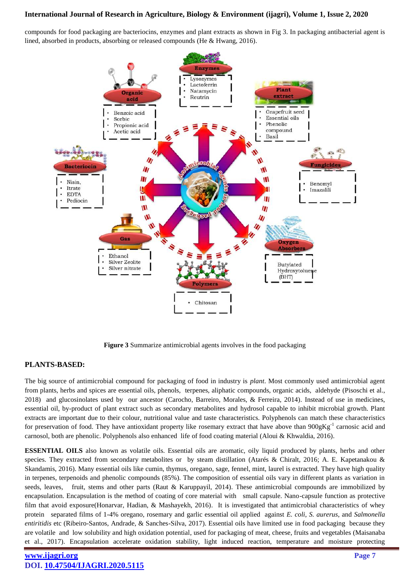compounds for food packaging are bacteriocins, enzymes and plant extracts as shown in Fig 3. In packaging antibacterial agent is lined, absorbed in products, absorbing or released compounds (He & Hwang, 2016).



**Figure 3** Summarize antimicrobial agents involves in the food packaging

#### **PLANTS-BASED:**

The big source of antimicrobial compound for packaging of food in industry is *plant*. Most commonly used antimicrobial agent from plants, herbs and spices are essential oils, phenols, terpenes, aliphatic compounds, organic acids, aldehyde (Pisoschi et al., 2018) and glucosinolates used by our ancestor (Carocho, Barreiro, Morales, & Ferreira, 2014). Instead of use in medicines, essential oil, by-product of plant extract such as secondary metabolites and hydrosol capable to inhibit microbial growth. Plant extracts are important due to their colour, nutritional value and taste characteristics. Polyphenols can match these characteristics for preservation of food. They have antioxidant property like rosemary extract that have above than  $900gKg^{-1}$  carnosic acid and carnosol, both are phenolic. Polyphenols also enhanced life of food coating material (Aloui & Khwaldia, 2016).

**ESSENTIAL OILS** also known as volatile oils. Essential oils are aromatic, oily liquid produced by plants, herbs and other species. They extracted from secondary metabolites or by steam distillation (Atarés & Chiralt, 2016; A. E. Kapetanakou & Skandamis, 2016). Many essential oils like cumin, thymus, oregano, sage, fennel, mint, laurel is extracted. They have high quality in terpenes, terpenoids and phenolic compounds (85%). The composition of essential oils vary in different plants as variation in seeds, leaves, fruit, stems and other parts (Raut & Karuppayil, 2014). These antimicrobial compounds are immobilized by encapsulation. Encapsulation is the method of coating of core material with small capsule. Nano-capsule function as protective film that avoid exposure(Honarvar, Hadian, & Mashayekh, 2016). It is investigated that antimicrobial characteristics of whey protein separated films of 1-4% oregano, rosemary and garlic essential oil applied against *E. coli*, *S. aurerus*, and *Salmonella entiritidis* etc (Ribeiro-Santos, Andrade, & Sanches-Silva, 2017). Essential oils have limited use in food packaging because they are volatile and low solubility and high oxidation potential, used for packaging of meat, cheese, fruits and vegetables (Maisanaba et al., 2017). Encapsulation accelerate oxidation stability, light induced reaction, temperature and moisture protecting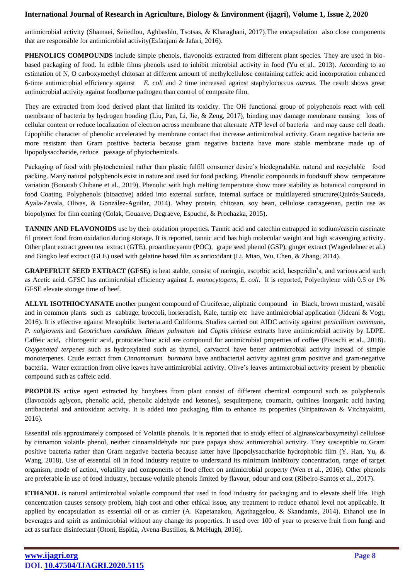antimicrobial activity (Shamaei, Seiiedlou, Aghbashlo, Tsotsas, & Kharaghani, 2017).The encapsulation also close components that are responsible for antimicrobial activity(Esfanjani & Jafari, 2016).

**PHENOLICS COMPOUNDS** include simple phenols, flavonoids extracted from different plant species. They are used in biobased packaging of food. In edible films phenols used to inhibit microbial activity in food (Yu et al., 2013). According to an estimation of N, O carboxymethyl chitosan at different amount of methylcellulose containing caffeic acid incorporation enhanced 6-time antimicrobial efficiency against *E. coli* and 2 time increased against staphylococcus *aureus*. The result shows great antimicrobial activity against foodborne pathogen than control of composite film.

They are extracted from food derived plant that limited its toxicity. The OH functional group of polyphenols react with cell membrane of bacteria by hydrogen bonding (Liu, Pan, Li, Jie, & Zeng, 2017), binding may damage membrane causing loss of cellular content or reduce localization of electron across membrane that alternate ATP level of bacteria and may cause cell death. Lipophilic character of phenolic accelerated by membrane contact that increase antimicrobial activity. Gram negative bacteria are more resistant than Gram positive bacteria because gram negative bacteria have more stable membrane made up of lipopolysaccharide, reduce passage of phytochemicals.

Packaging of food with phytochemical rather than plastic fulfill consumer desire's biodegradable, natural and recyclable food packing. Many natural polyphenols exist in nature and used for food packing. Phenolic compounds in foodstuff show temperature variation (Bouarab Chibane et al., 2019). Phenolic with high melting temperature show more stability as botanical compound in food Coating. Polyphenols (bioactive) added into external surface, internal surface or multilayered structure(Quirós-Sauceda, Ayala-Zavala, Olivas, & González-Aguilar, 2014). Whey protein, chitosan, soy bean, cellulose carrageenan, pectin use as biopolymer for film coating (Colak, Gouanve, Degraeve, Espuche, & Prochazka, 2015).

**TANNIN AND FLAVONOIDS** use by their oxidation properties. Tannic acid and catechin entrapped in sodium/casein caseinate fil protect food from oxidation during storage. It is reported, tannic acid has high molecular weight and high scavenging activity. Other plant extract green tea extract (GTE), proanthocyanin (POC), grape seed phenol (GSP), ginger extract (Wagenlehner et al.) and Gingko leaf extract (GLE) used with gelatine based film as antioxidant (Li, Miao, Wu, Chen, & Zhang, 2014).

**GRAPEFRUIT SEED EXTRACT (GFSE)** is heat stable, consist of naringin, ascorbic acid, hesperidin's, and various acid such as Acetic acid. GFSC has antimicrobial efficiency against *L. monocytogens, E. coli*. It is reported, Polyethylene with 0.5 or 1% GFSE elevate storage time of beef.

**ALLYL ISOTHIOCYANATE** another pungent compound of Cruciferae, aliphatic compound in Black, brown mustard, wasabi and in common plants such as cabbage, broccoli, horseradish, Kale, turnip etc have antimicrobial application (Jideani & Vogt, 2016). It is effective against Mesophilic bacteria and Coliforms. Studies carried out AIDC activity against *penicillium commune***,**  *P. nalgiovens* and *Geotrichum candidum. Rheum palmatum* and *Coptis chinese* extracts have antimicrobial activity by LDPE. Caffeic acid**,** chlorogenic acid, protocatechuic acid are compound for antimicrobial properties of coffee (Pisoschi et al., 2018). *Oxygenated terpenes* such as hydroxylated such as thymol, carvacrol have better antimicrobial activity instead of simple monoterpenes. Crude extract from *Cinnamomum burmanii* have antibacterial activity against gram positive and gram-negative bacteria. Water extraction from olive leaves have antimicrobial activity. Olive's leaves antimicrobial activity present by phenolic compound such as caffeic acid.

**PROPOLIS** active agent extracted by honybees from plant consist of different chemical compound such as polyphenols (flavonoids aglycon, phenolic acid, phenolic aldehyde and ketones), sesquiterpene, coumarin, quinines inorganic acid having antibacterial and antioxidant activity. It is added into packaging film to enhance its properties (Siripatrawan & Vitchayakitti, 2016).

Essential oils approximately composed of Volatile phenols. It is reported that to study effect of alginate/carboxymethyl cellulose by cinnamon volatile phenol, neither cinnamaldehyde nor pure papaya show antimicrobial activity. They susceptible to Gram positive bacteria rather than Gram negative bacteria because latter have lipopolysaccharide hydrophobic film (Y. Han, Yu, & Wang, 2018). Use of essential oil in food industry require to understand its minimum inhibitory concentration, range of target organism, mode of action, volatility and components of food effect on antimicrobial property (Wen et al., 2016). Other phenols are preferable in use of food industry, because volatile phenols limited by flavour, odour and cost (Ribeiro-Santos et al., 2017).

**ETHANOL** is natural antimicrobial volatile compound that used in food industry for packaging and to elevate shelf life. High concentration causes sensory problem, high cost and other ethical issue, any treatment to reduce ethanol level not applicable. It applied by encapsulation as essential oil or as carrier (A. Kapetanakou, Agathaggelou, & Skandamis, 2014). Ethanol use in beverages and spirit as antimicrobial without any change its properties. It used over 100 of year to preserve fruit from fungi and act as surface disinfectant (Otoni, Espitia, Avena-Bustillos, & McHugh, 2016).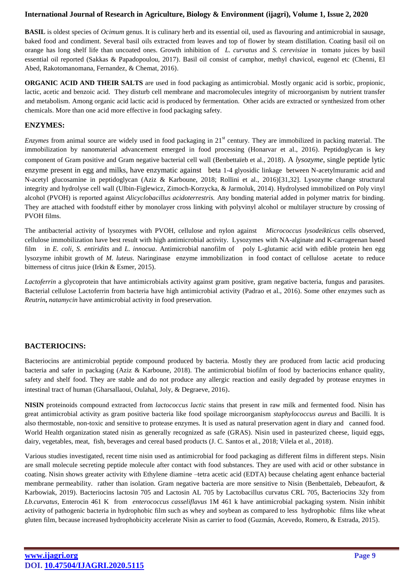**BASIL** is oldest species of *Ocimum* genus. It is culinary herb and its essential oil, used as flavouring and antimicrobial in sausage, baked food and condiment. Several basil oils extracted from leaves and top of flower by steam distillation. Coating basil oil on orange has long shelf life than uncoated ones. Growth inhibition of *L. curvatus* and *S. cerevisiae* in tomato juices by basil essential oil reported (Sakkas & Papadopoulou, 2017). Basil oil consist of camphor, methyl chavicol, eugenol etc (Chenni, El Abed, Rakotomanomana, Fernandez, & Chemat, 2016).

**ORGANIC ACID AND THEIR SALTS** are used in food packaging as antimicrobial. Mostly organic acid is sorbic, propionic, lactic, acetic and benzoic acid. They disturb cell membrane and macromolecules integrity of microorganism by nutrient transfer and metabolism. Among organic acid lactic acid is produced by fermentation. Other acids are extracted or synthesized from other chemicals. More than one acid more effective in food packaging safety.

# **ENZYMES:**

*Enzymes* from animal source are widely used in food packaging in 21<sup>st</sup> century. They are immobilized in packing material. The immobilization by nanomaterial advancement emerged in food processing (Honarvar et al., 2016). Peptidoglycan is key component of Gram positive and Gram negative bacterial cell wall (Benbettaïeb et al., 2018). A *lysozyme*, single peptide lytic enzyme present in egg and milks, have enzymatic against beta 1-4 glyosidic linkage between N-acetylmuramic acid and N-acetyl glucosamine in peptidoglycan (Aziz & Karboune, 2018; Rollini et al., 2016)[31,32]. Lysozyme change structural integrity and hydrolyse cell wall (Ulbin-Figlewicz, Zimoch-Korzycka, & Jarmoluk, 2014). Hydrolysed immobilized on Poly vinyl alcohol (PVOH) is reported against *Alicyclobacillus acidoterrestris.* Any bonding material added in polymer matrix for binding. They are attached with foodstuff either by monolayer cross linking with polyvinyl alcohol or multilayer structure by crossing of PVOH films.

The antibacterial activity of lysozymes with PVOH, cellulose and nylon against *Micrococcus lysodeikticus* cells observed, cellulose immobilization have best result with high antimicrobial activity. Lysozymes with NA-alginate and K-carrageenan based film in *E. coli, S. entiridits* and *L. innocua*. Antimicrobial nanofilm of poly L-glutamic acid with edible protein hen egg lysozyme inhibit growth of *M. luteus.* Naringinase enzyme immobilization in food contact of cellulose acetate to reduce bitterness of citrus juice (Irkin & Esmer, 2015).

*Lactoferrin* a glycoprotein that have antimicrobials activity against gram positive, gram negative bacteria, fungus and parasites. Bacterial cellulose Lactoferrin from bacteria have high antimicrobial activity (Padrao et al., 2016). Some other enzymes such as *Reutrin***,** *natamycin* have antimicrobial activity in food preservation.

# **BACTERIOCINS:**

Bacteriocins are antimicrobial peptide compound produced by bacteria. Mostly they are produced from lactic acid producing bacteria and safer in packaging (Aziz & Karboune, 2018). The antimicrobial biofilm of food by bacteriocins enhance quality, safety and shelf food. They are stable and do not produce any allergic reaction and easily degraded by protease enzymes in intestinal tract of human (Gharsallaoui, Oulahal, Joly, & Degraeve, 2016).

**NISIN** proteinoids compound extracted from *lactococcus lactic* stains that present in raw milk and fermented food. Nisin has great antimicrobial activity as gram positive bacteria like food spoilage microorganism *staphylococcus aureus* and Bacilli. It is also thermostable, non-toxic and sensitive to protease enzymes. It is used as natural preservation agent in diary and canned food. World Health organization stated nisin as generally recognized as safe (GRAS). Nisin used in pasteurized cheese, liquid eggs, dairy, vegetables, meat, fish, beverages and cereal based products (J. C. Santos et al., 2018; Vilela et al., 2018).

Various studies investigated, recent time nisin used as antimicrobial for food packaging as different films in different steps. Nisin are small molecule secreting peptide molecule after contact with food substances. They are used with acid or other substance in coating. Nisin shows greater activity with Ethylene diamine –tetra acetic acid (EDTA) because chelating agent enhance bacterial membrane permeability. rather than isolation. Gram negative bacteria are more sensitive to Nisin (Benbettaïeb, Debeaufort, & Karbowiak, 2019). Bacteriocins lactosin 705 and Lactosin AL 705 by Lactobacillus curvatus CRL 705, Bacteriocins 32y from *Lb.curvatus*, Enterocin 461 K from *enterococcus casseliflavus* 1M 461 k have antimicrobial packaging system. Nisin inhibit activity of pathogenic bacteria in hydrophobic film such as whey and soybean as compared to less hydrophobic films like wheat gluten film, because increased hydrophobicity accelerate Nisin as carrier to food (Guzmán, Acevedo, Romero, & Estrada, 2015).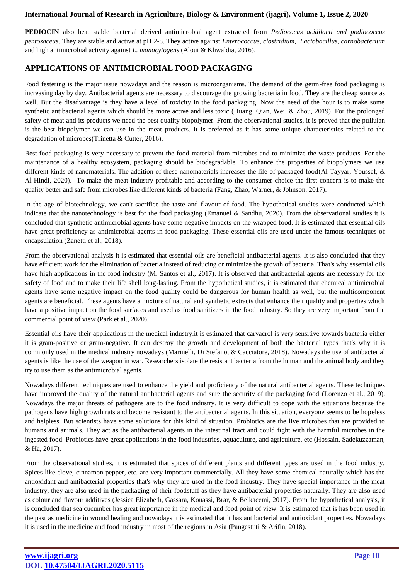**PEDIOCIN** also heat stable bacterial derived antimicrobial agent extracted from *Pediococus acidilacti and podiococcus pentosaceus*. They are stable and active at pH 2-8. They active against *Enterococcus, clostridium, Lactobacillus, carnobacterium* and high antimicrobial activity against *L. monocytogens* (Aloui & Khwaldia, 2016).

# **APPLICATIONS OF ANTIMICROBIAL FOOD PACKAGING**

Food festering is the major issue nowadays and the reason is microorganisms. The demand of the germ-free food packaging is increasing day by day. Antibacterial agents are necessary to discourage the growing bacteria in food. They are the cheap source as well. But the disadvantage is they have a level of toxicity in the food packaging. Now the need of the hour is to make some synthetic antibacterial agents which should be more active and less toxic (Huang, Qian, Wei, & Zhou, 2019). For the prolonged safety of meat and its products we need the best quality biopolymer. From the observational studies, it is proved that the pullulan is the best biopolymer we can use in the meat products. It is preferred as it has some unique characteristics related to the degradation of microbes(Trinetta & Cutter, 2016).

Best food packaging is very necessary to prevent the food material from microbes and to minimize the waste products. For the maintenance of a healthy ecosystem, packaging should be biodegradable. To enhance the properties of biopolymers we use different kinds of nanomaterials. The addition of these nanomaterials increases the life of packaged food(Al-Tayyar, Youssef, & Al-Hindi, 2020). To make the meat industry profitable and according to the consumer choice the first concern is to make the quality better and safe from microbes like different kinds of bacteria (Fang, Zhao, Warner, & Johnson, 2017).

In the age of biotechnology, we can't sacrifice the taste and flavour of food. The hypothetical studies were conducted which indicate that the nanotechnology is best for the food packaging (Emanuel & Sandhu, 2020). From the observational studies it is concluded that synthetic antimicrobial agents have some negative impacts on the wrapped food. It is estimated that essential oils have great proficiency as antimicrobial agents in food packaging. These essential oils are used under the famous techniques of encapsulation (Zanetti et al., 2018).

From the observational analysis it is estimated that essential oils are beneficial antibacterial agents. It is also concluded that they have efficient work for the elimination of bacteria instead of reducing or minimize the growth of bacteria. That's why essential oils have high applications in the food industry (M. Santos et al., 2017). It is observed that antibacterial agents are necessary for the safety of food and to make their life shell long-lasting. From the hypothetical studies, it is estimated that chemical antimicrobial agents have some negative impact on the food quality could be dangerous for human health as well, but the multicomponent agents are beneficial. These agents have a mixture of natural and synthetic extracts that enhance their quality and properties which have a positive impact on the food surfaces and used as food sanitizers in the food industry. So they are very important from the commercial point of view (Park et al., 2020).

Essential oils have their applications in the medical industry.it is estimated that carvacrol is very sensitive towards bacteria either it is gram-positive or gram-negative. It can destroy the growth and development of both the bacterial types that's why it is commonly used in the medical industry nowadays (Marinelli, Di Stefano, & Cacciatore, 2018). Nowadays the use of antibacterial agents is like the use of the weapon in war. Researchers isolate the resistant bacteria from the human and the animal body and they try to use them as the antimicrobial agents.

Nowadays different techniques are used to enhance the yield and proficiency of the natural antibacterial agents. These techniques have improved the quality of the natural antibacterial agents and sure the security of the packaging food (Lorenzo et al., 2019). Nowadays the major threats of pathogens are to the food industry. It is very difficult to cope with the situations because the pathogens have high growth rats and become resistant to the antibacterial agents. In this situation, everyone seems to be hopeless and helpless. But scientists have some solutions for this kind of situation. Probiotics are the live microbes that are provided to humans and animals. They act as the antibacterial agents in the intestinal tract and could fight with the harmful microbes in the ingested food. Probiotics have great applications in the food industries, aquaculture, and agriculture, etc (Hossain, Sadekuzzaman, & Ha, 2017).

From the observational studies, it is estimated that spices of different plants and different types are used in the food industry. Spices like clove, cinnamon pepper, etc. are very important commercially. All they have some chemical naturally which has the antioxidant and antibacterial properties that's why they are used in the food industry. They have special importance in the meat industry, they are also used in the packaging of their foodstuff as they have antibacterial properties naturally. They are also used as colour and flavour additives (Jessica Elizabeth, Gassara, Kouassi, Brar, & Belkacemi, 2017). From the hypothetical analysis, it is concluded that sea cucumber has great importance in the medical and food point of view. It is estimated that is has been used in the past as medicine in wound healing and nowadays it is estimated that it has antibacterial and antioxidant properties. Nowadays it is used in the medicine and food industry in most of the regions in Asia (Pangestuti & Arifin, 2018).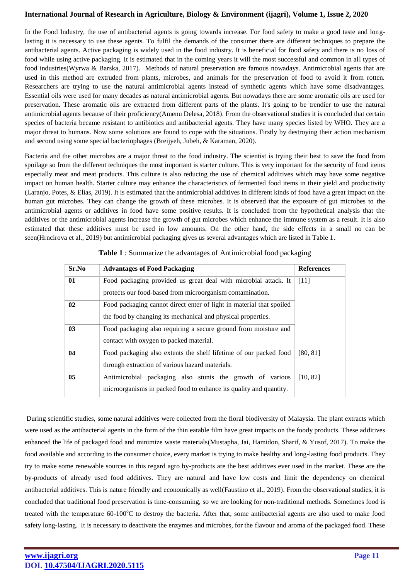In the Food Industry, the use of antibacterial agents is going towards increase. For food safety to make a good taste and longlasting it is necessary to use these agents. To fulfil the demands of the consumer there are different techniques to prepare the antibacterial agents. Active packaging is widely used in the food industry. It is beneficial for food safety and there is no loss of food while using active packaging. It is estimated that in the coming years it will the most successful and common in all types of food industries(Wyrwa & Barska, 2017). Methods of natural preservation are famous nowadays. Antimicrobial agents that are used in this method are extruded from plants, microbes, and animals for the preservation of food to avoid it from rotten. Researchers are trying to use the natural antimicrobial agents instead of synthetic agents which have some disadvantages. Essential oils were used for many decades as natural antimicrobial agents. But nowadays there are some aromatic oils are used for preservation. These aromatic oils are extracted from different parts of the plants. It's going to be trendier to use the natural antimicrobial agents because of their proficiency(Amenu Delesa, 2018). From the observational studies it is concluded that certain species of bacteria became resistant to antibiotics and antibacterial agents. They have many species listed by WHO. They are a major threat to humans. Now some solutions are found to cope with the situations. Firstly by destroying their action mechanism and second using some special bacteriophages (Breijyeh, Jubeh, & Karaman, 2020).

Bacteria and the other microbes are a major threat to the food industry. The scientist is trying their best to save the food from spoilage so from the different techniques the most important is starter culture. This is very important for the security of food items especially meat and meat products. This culture is also reducing the use of chemical additives which may have some negative impact on human health. Starter culture may enhance the characteristics of fermented food items in their yield and productivity (Laranjo, Potes, & Elias, 2019). It is estimated that the antimicrobial additives in different kinds of food have a great impact on the human gut microbes. They can change the growth of these microbes. It is observed that the exposure of gut microbes to the antimicrobial agents or additives in food have some positive results. It is concluded from the hypothetical analysis that the additives or the antimicrobial agents increase the growth of gut microbes which enhance the immune system as a result. It is also estimated that these additives must be used in low amounts. On the other hand, the side effects in a small no can be seen(Hrncirova et al., 2019) but antimicrobial packaging gives us several advantages which are listed in Table 1.

| Sr.No | <b>Advantages of Food Packaging</b>                                                                                             | <b>References</b> |
|-------|---------------------------------------------------------------------------------------------------------------------------------|-------------------|
| 01    | Food packaging provided us great deal with microbial attack. It<br>protects our food-based from microorganism contamination.    | [11]              |
| 02    | Food packaging cannot direct enter of light in material that spoiled                                                            |                   |
| 03    | the food by changing its mechanical and physical properties.<br>Food packaging also requiring a secure ground from moisture and |                   |
| 04    | contact with oxygen to packed material.<br>Food packaging also extents the shelf lifetime of our packed food                    | [80, 81]          |
|       | through extraction of various hazard materials.                                                                                 |                   |
| 05    | Antimicrobial packaging also stunts the growth of various<br>microorganisms in packed food to enhance its quality and quantity. | [10, 82]          |

| Table 1 : Summarize the advantages of Antimicrobial food packaging |  |
|--------------------------------------------------------------------|--|
|--------------------------------------------------------------------|--|

During scientific studies, some natural additives were collected from the floral biodiversity of Malaysia. The plant extracts which were used as the antibacterial agents in the form of the thin eatable film have great impacts on the foody products. These additives enhanced the life of packaged food and minimize waste materials(Mustapha, Jai, Hamidon, Sharif, & Yusof, 2017). To make the food available and according to the consumer choice, every market is trying to make healthy and long-lasting food products. They try to make some renewable sources in this regard agro by-products are the best additives ever used in the market. These are the by-products of already used food additives. They are natural and have low costs and limit the dependency on chemical antibacterial additives. This is nature friendly and economically as well(Faustino et al., 2019). From the observational studies, it is concluded that traditional food preservation is time-consuming, so we are looking for non-traditional methods. Sometimes food is treated with the temperature  $60-100^{\circ}\text{C}$  to destroy the bacteria. After that, some antibacterial agents are also used to make food safety long-lasting. It is necessary to deactivate the enzymes and microbes, for the flavour and aroma of the packaged food. These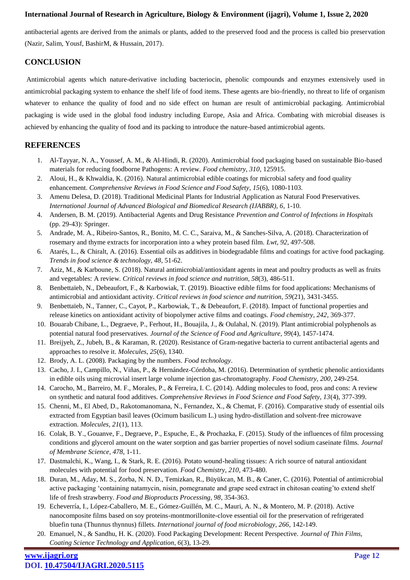antibacterial agents are derived from the animals or plants, added to the preserved food and the process is called bio preservation (Nazir, Salim, Yousf, BashirM, & Hussain, 2017).

# **CONCLUSION**

Antimicrobial agents which nature-derivative including bacteriocin, phenolic compounds and enzymes extensively used in antimicrobial packaging system to enhance the shelf life of food items. These agents are bio-friendly, no threat to life of organism whatever to enhance the quality of food and no side effect on human are result of antimicrobial packaging. Antimicrobial packaging is wide used in the global food industry including Europe, Asia and Africa. Combating with microbial diseases is achieved by enhancing the quality of food and its packing to introduce the nature-based antimicrobial agents.

# **REFERENCES**

- 1. Al-Tayyar, N. A., Youssef, A. M., & Al-Hindi, R. (2020). Antimicrobial food packaging based on sustainable Bio-based materials for reducing foodborne Pathogens: A review. *Food chemistry, 310*, 125915.
- 2. Aloui, H., & Khwaldia, K. (2016). Natural antimicrobial edible coatings for microbial safety and food quality enhancement. *Comprehensive Reviews in Food Science and Food Safety, 15*(6), 1080-1103.
- 3. Amenu Delesa, D. (2018). Traditional Medicinal Plants for Industrial Application as Natural Food Preservatives. *International Journal of Advanced Biological and Biomedical Research (IJABBR), 6*, 1-10.
- 4. Andersen, B. M. (2019). Antibacterial Agents and Drug Resistance *Prevention and Control of Infections in Hospitals* (pp. 29-43): Springer.
- 5. Andrade, M. A., Ribeiro-Santos, R., Bonito, M. C. C., Saraiva, M., & Sanches-Silva, A. (2018). Characterization of rosemary and thyme extracts for incorporation into a whey protein based film. *Lwt, 92*, 497-508.
- 6. Atarés, L., & Chiralt, A. (2016). Essential oils as additives in biodegradable films and coatings for active food packaging. *Trends in food science & technology, 48*, 51-62.
- 7. Aziz, M., & Karboune, S. (2018). Natural antimicrobial/antioxidant agents in meat and poultry products as well as fruits and vegetables: A review. *Critical reviews in food science and nutrition, 58*(3), 486-511.
- 8. Benbettaïeb, N., Debeaufort, F., & Karbowiak, T. (2019). Bioactive edible films for food applications: Mechanisms of antimicrobial and antioxidant activity. *Critical reviews in food science and nutrition, 59*(21), 3431-3455.
- 9. Benbettaïeb, N., Tanner, C., Cayot, P., Karbowiak, T., & Debeaufort, F. (2018). Impact of functional properties and release kinetics on antioxidant activity of biopolymer active films and coatings. *Food chemistry, 242*, 369-377.
- 10. Bouarab Chibane, L., Degraeve, P., Ferhout, H., Bouajila, J., & Oulahal, N. (2019). Plant antimicrobial polyphenols as potential natural food preservatives. *Journal of the Science of Food and Agriculture, 99*(4), 1457-1474.
- 11. Breijyeh, Z., Jubeh, B., & Karaman, R. (2020). Resistance of Gram-negative bacteria to current antibacterial agents and approaches to resolve it. *Molecules, 25*(6), 1340.
- 12. Brody, A. L. (2008). Packaging by the numbers. *Food technology*.
- 13. Cacho, J. I., Campillo, N., Viñas, P., & Hernández-Córdoba, M. (2016). Determination of synthetic phenolic antioxidants in edible oils using microvial insert large volume injection gas-chromatography. *Food Chemistry, 200*, 249-254.
- 14. Carocho, M., Barreiro, M. F., Morales, P., & Ferreira, I. C. (2014). Adding molecules to food, pros and cons: A review on synthetic and natural food additives. *Comprehensive Reviews in Food Science and Food Safety, 13*(4), 377-399.
- 15. Chenni, M., El Abed, D., Rakotomanomana, N., Fernandez, X., & Chemat, F. (2016). Comparative study of essential oils extracted from Egyptian basil leaves (Ocimum basilicum L.) using hydro-distillation and solvent-free microwave extraction. *Molecules, 21*(1), 113.
- 16. Colak, B. Y., Gouanve, F., Degraeve, P., Espuche, E., & Prochazka, F. (2015). Study of the influences of film processing conditions and glycerol amount on the water sorption and gas barrier properties of novel sodium caseinate films. *Journal of Membrane Science, 478*, 1-11.
- 17. Dastmalchi, K., Wang, I., & Stark, R. E. (2016). Potato wound-healing tissues: A rich source of natural antioxidant molecules with potential for food preservation. *Food Chemistry, 210*, 473-480.
- 18. Duran, M., Aday, M. S., Zorba, N. N. D., Temizkan, R., Büyükcan, M. B., & Caner, C. (2016). Potential of antimicrobial active packaging 'containing natamycin, nisin, pomegranate and grape seed extract in chitosan coating'to extend shelf life of fresh strawberry. *Food and Bioproducts Processing, 98*, 354-363.
- 19. Echeverría, I., López-Caballero, M. E., Gómez-Guillén, M. C., Mauri, A. N., & Montero, M. P. (2018). Active nanocomposite films based on soy proteins-montmorillonite-clove essential oil for the preservation of refrigerated bluefin tuna (Thunnus thynnus) fillets. *International journal of food microbiology, 266*, 142-149.
- 20. Emanuel, N., & Sandhu, H. K. (2020). Food Packaging Development: Recent Perspective. *Journal of Thin Films, Coating Science Technology and Application, 6*(3), 13-29.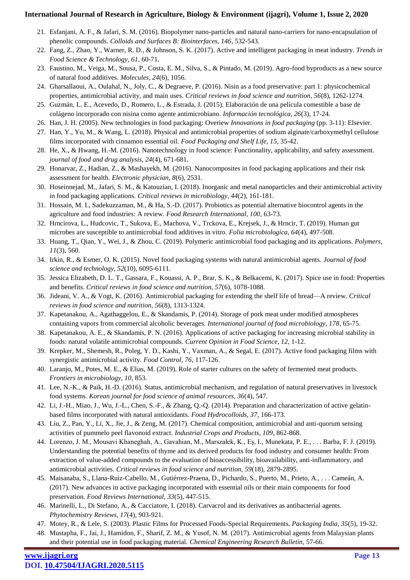- 21. Esfanjani, A. F., & Jafari, S. M. (2016). Biopolymer nano-particles and natural nano-carriers for nano-encapsulation of phenolic compounds. *Colloids and Surfaces B: Biointerfaces, 146*, 532-543.
- 22. Fang, Z., Zhao, Y., Warner, R. D., & Johnson, S. K. (2017). Active and intelligent packaging in meat industry. *Trends in Food Science & Technology, 61*, 60-71.
- 23. Faustino, M., Veiga, M., Sousa, P., Costa, E. M., Silva, S., & Pintado, M. (2019). Agro-food byproducts as a new source of natural food additives. *Molecules, 24*(6), 1056.
- 24. Gharsallaoui, A., Oulahal, N., Joly, C., & Degraeve, P. (2016). Nisin as a food preservative: part 1: physicochemical properties, antimicrobial activity, and main uses. *Critical reviews in food science and nutrition, 56*(8), 1262-1274.
- 25. Guzmán, L. E., Acevedo, D., Romero, L., & Estrada, J. (2015). Elaboración de una película comestible a base de colágeno incorporado con nisina como agente antimicrobiano. *Información tecnológica, 26*(3), 17-24.
- 26. Han, J. H. (2005). New technologies in food packaging: Overiew *Innovations in food packaging* (pp. 3-11): Elsevier.
- 27. Han, Y., Yu, M., & Wang, L. (2018). Physical and antimicrobial properties of sodium alginate/carboxymethyl cellulose films incorporated with cinnamon essential oil. *Food Packaging and Shelf Life, 15*, 35-42.
- 28. He, X., & Hwang, H.-M. (2016). Nanotechnology in food science: Functionality, applicability, and safety assessment. *journal of food and drug analysis, 24*(4), 671-681.
- 29. Honarvar, Z., Hadian, Z., & Mashayekh, M. (2016). Nanocomposites in food packaging applications and their risk assessment for health. *Electronic physician, 8*(6), 2531.
- 30. Hoseinnejad, M., Jafari, S. M., & Katouzian, I. (2018). Inorganic and metal nanoparticles and their antimicrobial activity in food packaging applications. *Critical reviews in microbiology, 44*(2), 161-181.
- 31. Hossain, M. I., Sadekuzzaman, M., & Ha, S.-D. (2017). Probiotics as potential alternative biocontrol agents in the agriculture and food industries: A review. *Food Research International, 100*, 63-73.
- 32. Hrncirova, L., Hudcovic, T., Sukova, E., Machova, V., Trckova, E., Krejsek, J., & Hrncir, T. (2019). Human gut microbes are susceptible to antimicrobial food additives in vitro. *Folia microbiologica, 64*(4), 497-508.
- 33. Huang, T., Qian, Y., Wei, J., & Zhou, C. (2019). Polymeric antimicrobial food packaging and its applications. *Polymers, 11*(3), 560.
- 34. Irkin, R., & Esmer, O. K. (2015). Novel food packaging systems with natural antimicrobial agents. *Journal of food science and technology, 52*(10), 6095-6111.
- 35. Jessica Elizabeth, D. L. T., Gassara, F., Kouassi, A. P., Brar, S. K., & Belkacemi, K. (2017). Spice use in food: Properties and benefits. *Critical reviews in food science and nutrition, 57*(6), 1078-1088.
- 36. Jideani, V. A., & Vogt, K. (2016). Antimicrobial packaging for extending the shelf life of bread—A review. *Critical reviews in food science and nutrition, 56*(8), 1313-1324.
- 37. Kapetanakou, A., Agathaggelou, E., & Skandamis, P. (2014). Storage of pork meat under modified atmospheres containing vapors from commercial alcoholic beverages. *International journal of food microbiology, 178*, 65-75.
- 38. Kapetanakou, A. E., & Skandamis, P. N. (2016). Applications of active packaging for increasing microbial stability in foods: natural volatile antimicrobial compounds. *Current Opinion in Food Science, 12*, 1-12.
- 39. Krepker, M., Shemesh, R., Poleg, Y. D., Kashi, Y., Vaxman, A., & Segal, E. (2017). Active food packaging films with synergistic antimicrobial activity. *Food Control, 76*, 117-126.
- 40. Laranjo, M., Potes, M. E., & Elias, M. (2019). Role of starter cultures on the safety of fermented meat products. *Frontiers in microbiology, 10*, 853.
- 41. Lee, N.-K., & Paik, H.-D. (2016). Status, antimicrobial mechanism, and regulation of natural preservatives in livestock food systems. *Korean journal for food science of animal resources, 36*(4), 547.
- 42. Li, J.-H., Miao, J., Wu, J.-L., Chen, S.-F., & Zhang, Q.-Q. (2014). Preparation and characterization of active gelatinbased films incorporated with natural antioxidants. *Food Hydrocolloids, 37*, 166-173.
- 43. Liu, Z., Pan, Y., Li, X., Jie, J., & Zeng, M. (2017). Chemical composition, antimicrobial and anti-quorum sensing activities of pummelo peel flavonoid extract. *Industrial Crops and Products, 109*, 862-868.
- 44. Lorenzo, J. M., Mousavi Khaneghah, A., Gavahian, M., Marszałek, K., Eş, I., Munekata, P. E., . . . Barba, F. J. (2019). Understanding the potential benefits of thyme and its derived products for food industry and consumer health: From extraction of value-added compounds to the evaluation of bioaccessibility, bioavailability, anti-inflammatory, and antimicrobial activities. *Critical reviews in food science and nutrition, 59*(18), 2879-2895.
- 45. Maisanaba, S., Llana-Ruiz-Cabello, M., Gutiérrez-Praena, D., Pichardo, S., Puerto, M., Prieto, A., . . . Cameán, A. (2017). New advances in active packaging incorporated with essential oils or their main components for food preservation. *Food Reviews International, 33*(5), 447-515.
- 46. Marinelli, L., Di Stefano, A., & Cacciatore, I. (2018). Carvacrol and its derivatives as antibacterial agents. *Phytochemistry Reviews, 17*(4), 903-921.
- 47. Motey, R., & Lele, S. (2003). Plastic Films for Processed Foods-Special Requirements. *Packaging India, 35*(5), 19-32.
- 48. Mustapha, F., Jai, J., Hamidon, F., Sharif, Z. M., & Yusof, N. M. (2017). Antimicrobial agents from Malaysian plants and their potential use in food packaging material. *Chemical Engineering Research Bulletin*, 57-66.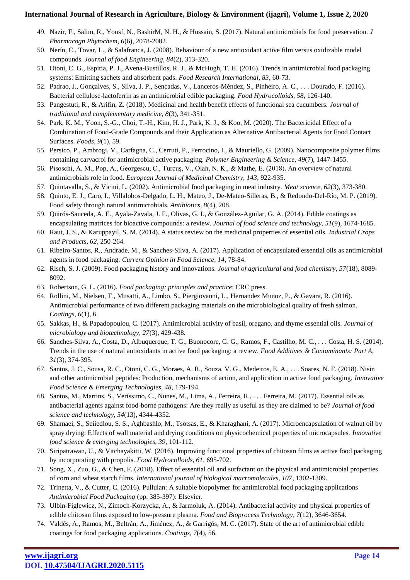- 49. Nazir, F., Salim, R., Yousf, N., BashirM, N. H., & Hussain, S. (2017). Natural antimicrobials for food preservation. *J Pharmacogn Phytochem, 6*(6), 2078-2082.
- 50. Nerín, C., Tovar, L., & Salafranca, J. (2008). Behaviour of a new antioxidant active film versus oxidizable model compounds. *Journal of food Engineering, 84*(2), 313-320.
- 51. Otoni, C. G., Espitia, P. J., Avena-Bustillos, R. J., & McHugh, T. H. (2016). Trends in antimicrobial food packaging systems: Emitting sachets and absorbent pads. *Food Research International, 83*, 60-73.
- 52. Padrao, J., Gonçalves, S., Silva, J. P., Sencadas, V., Lanceros-Méndez, S., Pinheiro, A. C., . . . Dourado, F. (2016). Bacterial cellulose-lactoferrin as an antimicrobial edible packaging. *Food Hydrocolloids, 58*, 126-140.
- 53. Pangestuti, R., & Arifin, Z. (2018). Medicinal and health benefit effects of functional sea cucumbers. *Journal of traditional and complementary medicine, 8*(3), 341-351.
- 54. Park, K. M., Yoon, S.-G., Choi, T.-H., Kim, H. J., Park, K. J., & Koo, M. (2020). The Bactericidal Effect of a Combination of Food-Grade Compounds and their Application as Alternative Antibacterial Agents for Food Contact Surfaces. *Foods, 9*(1), 59.
- 55. Persico, P., Ambrogi, V., Carfagna, C., Cerruti, P., Ferrocino, I., & Mauriello, G. (2009). Nanocomposite polymer films containing carvacrol for antimicrobial active packaging. *Polymer Engineering & Science, 49*(7), 1447-1455.
- 56. Pisoschi, A. M., Pop, A., Georgescu, C., Turcuş, V., Olah, N. K., & Mathe, E. (2018). An overview of natural antimicrobials role in food. *European Journal of Medicinal Chemistry, 143*, 922-935.
- 57. Quintavalla, S., & Vicini, L. (2002). Antimicrobial food packaging in meat industry. *Meat science, 62*(3), 373-380.
- 58. Quinto, E. J., Caro, I., Villalobos-Delgado, L. H., Mateo, J., De-Mateo-Silleras, B., & Redondo-Del-Río, M. P. (2019). Food safety through natural antimicrobials. *Antibiotics, 8*(4), 208.
- 59. Quirós-Sauceda, A. E., Ayala-Zavala, J. F., Olivas, G. I., & González-Aguilar, G. A. (2014). Edible coatings as encapsulating matrices for bioactive compounds: a review. *Journal of food science and technology, 51*(9), 1674-1685.
- 60. Raut, J. S., & Karuppayil, S. M. (2014). A status review on the medicinal properties of essential oils. *Industrial Crops and Products, 62*, 250-264.
- 61. Ribeiro-Santos, R., Andrade, M., & Sanches-Silva, A. (2017). Application of encapsulated essential oils as antimicrobial agents in food packaging. *Current Opinion in Food Science, 14*, 78-84.
- 62. Risch, S. J. (2009). Food packaging history and innovations. *Journal of agricultural and food chemistry, 57*(18), 8089- 8092.
- 63. Robertson, G. L. (2016). *Food packaging: principles and practice*: CRC press.
- 64. Rollini, M., Nielsen, T., Musatti, A., Limbo, S., Piergiovanni, L., Hernandez Munoz, P., & Gavara, R. (2016). Antimicrobial performance of two different packaging materials on the microbiological quality of fresh salmon. *Coatings, 6*(1), 6.
- 65. Sakkas, H., & Papadopoulou, C. (2017). Antimicrobial activity of basil, oregano, and thyme essential oils. *Journal of microbiology and biotechnology, 27*(3), 429-438.
- 66. Sanches-Silva, A., Costa, D., Albuquerque, T. G., Buonocore, G. G., Ramos, F., Castilho, M. C., . . . Costa, H. S. (2014). Trends in the use of natural antioxidants in active food packaging: a review. *Food Additives & Contaminants: Part A, 31*(3), 374-395.
- 67. Santos, J. C., Sousa, R. C., Otoni, C. G., Moraes, A. R., Souza, V. G., Medeiros, E. A., . . . Soares, N. F. (2018). Nisin and other antimicrobial peptides: Production, mechanisms of action, and application in active food packaging. *Innovative Food Science & Emerging Technologies, 48*, 179-194.
- 68. Santos, M., Martins, S., Veríssimo, C., Nunes, M., Lima, A., Ferreira, R., . . . Ferreira, M. (2017). Essential oils as antibacterial agents against food-borne pathogens: Are they really as useful as they are claimed to be? *Journal of food science and technology, 54*(13), 4344-4352.
- 69. Shamaei, S., Seiiedlou, S. S., Aghbashlo, M., Tsotsas, E., & Kharaghani, A. (2017). Microencapsulation of walnut oil by spray drying: Effects of wall material and drying conditions on physicochemical properties of microcapsules. *Innovative food science & emerging technologies, 39*, 101-112.
- 70. Siripatrawan, U., & Vitchayakitti, W. (2016). Improving functional properties of chitosan films as active food packaging by incorporating with propolis. *Food Hydrocolloids, 61*, 695-702.
- 71. Song, X., Zuo, G., & Chen, F. (2018). Effect of essential oil and surfactant on the physical and antimicrobial properties of corn and wheat starch films. *International journal of biological macromolecules, 107*, 1302-1309.
- 72. Trinetta, V., & Cutter, C. (2016). Pullulan: A suitable biopolymer for antimicrobial food packaging applications *Antimicrobial Food Packaging* (pp. 385-397): Elsevier.
- 73. Ulbin-Figlewicz, N., Zimoch-Korzycka, A., & Jarmoluk, A. (2014). Antibacterial activity and physical properties of edible chitosan films exposed to low-pressure plasma. *Food and Bioprocess Technology, 7*(12), 3646-3654.
- 74. Valdés, A., Ramos, M., Beltrán, A., Jiménez, A., & Garrigós, M. C. (2017). State of the art of antimicrobial edible coatings for food packaging applications. *Coatings, 7*(4), 56.